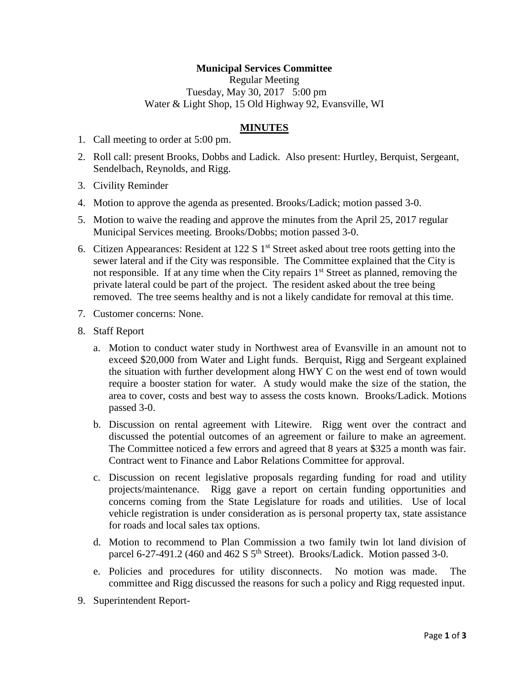## **Municipal Services Committee**

Regular Meeting Tuesday, May 30, 2017 5:00 pm Water & Light Shop, 15 Old Highway 92, Evansville, WI

## **MINUTES**

- 1. Call meeting to order at 5:00 pm.
- 2. Roll call: present Brooks, Dobbs and Ladick. Also present: Hurtley, Berquist, Sergeant, Sendelbach, Reynolds, and Rigg.
- 3. Civility Reminder
- 4. Motion to approve the agenda as presented. Brooks/Ladick; motion passed 3-0.
- 5. Motion to waive the reading and approve the minutes from the April 25, 2017 regular Municipal Services meeting. Brooks/Dobbs; motion passed 3-0.
- 6. Citizen Appearances: Resident at 122 S  $1<sup>st</sup>$  Street asked about tree roots getting into the sewer lateral and if the City was responsible. The Committee explained that the City is not responsible. If at any time when the City repairs  $1<sup>st</sup>$  Street as planned, removing the private lateral could be part of the project. The resident asked about the tree being removed. The tree seems healthy and is not a likely candidate for removal at this time.
- 7. Customer concerns: None.
- 8. Staff Report
	- a. Motion to conduct water study in Northwest area of Evansville in an amount not to exceed \$20,000 from Water and Light funds. Berquist, Rigg and Sergeant explained the situation with further development along HWY C on the west end of town would require a booster station for water. A study would make the size of the station, the area to cover, costs and best way to assess the costs known. Brooks/Ladick. Motions passed 3-0.
	- b. Discussion on rental agreement with Litewire. Rigg went over the contract and discussed the potential outcomes of an agreement or failure to make an agreement. The Committee noticed a few errors and agreed that 8 years at \$325 a month was fair. Contract went to Finance and Labor Relations Committee for approval.
	- c. Discussion on recent legislative proposals regarding funding for road and utility projects/maintenance. Rigg gave a report on certain funding opportunities and concerns coming from the State Legislature for roads and utilities. Use of local vehicle registration is under consideration as is personal property tax, state assistance for roads and local sales tax options.
	- d. Motion to recommend to Plan Commission a two family twin lot land division of parcel 6-27-491.2 (460 and 462 S  $5<sup>th</sup>$  Street). Brooks/Ladick. Motion passed 3-0.
	- e. Policies and procedures for utility disconnects. No motion was made. The committee and Rigg discussed the reasons for such a policy and Rigg requested input.
- 9. Superintendent Report-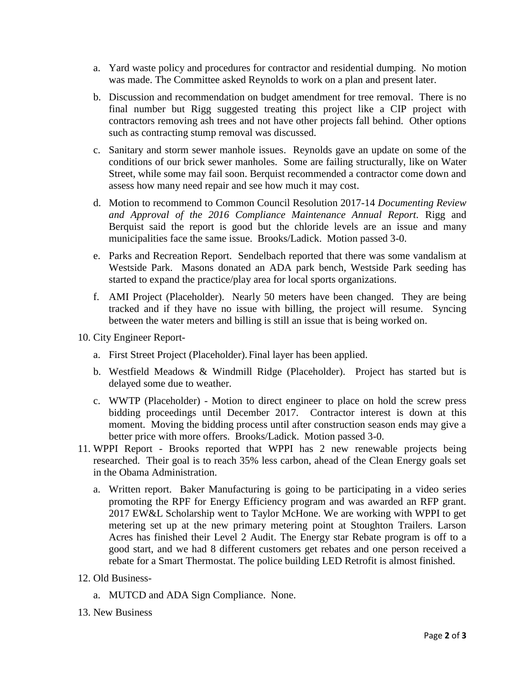- a. Yard waste policy and procedures for contractor and residential dumping. No motion was made. The Committee asked Reynolds to work on a plan and present later.
- b. Discussion and recommendation on budget amendment for tree removal. There is no final number but Rigg suggested treating this project like a CIP project with contractors removing ash trees and not have other projects fall behind. Other options such as contracting stump removal was discussed.
- c. Sanitary and storm sewer manhole issues. Reynolds gave an update on some of the conditions of our brick sewer manholes. Some are failing structurally, like on Water Street, while some may fail soon. Berquist recommended a contractor come down and assess how many need repair and see how much it may cost.
- d. Motion to recommend to Common Council Resolution 2017-14 *Documenting Review and Approval of the 2016 Compliance Maintenance Annual Report.* Rigg and Berquist said the report is good but the chloride levels are an issue and many municipalities face the same issue. Brooks/Ladick. Motion passed 3-0.
- e. Parks and Recreation Report. Sendelbach reported that there was some vandalism at Westside Park. Masons donated an ADA park bench, Westside Park seeding has started to expand the practice/play area for local sports organizations.
- f. AMI Project (Placeholder). Nearly 50 meters have been changed. They are being tracked and if they have no issue with billing, the project will resume. Syncing between the water meters and billing is still an issue that is being worked on.
- 10. City Engineer Report
	- a. First Street Project (Placeholder).Final layer has been applied.
	- b. Westfield Meadows & Windmill Ridge (Placeholder). Project has started but is delayed some due to weather.
	- c. WWTP (Placeholder) Motion to direct engineer to place on hold the screw press bidding proceedings until December 2017. Contractor interest is down at this moment. Moving the bidding process until after construction season ends may give a better price with more offers. Brooks/Ladick. Motion passed 3-0.
- 11. WPPI Report Brooks reported that WPPI has 2 new renewable projects being researched. Their goal is to reach 35% less carbon, ahead of the Clean Energy goals set in the Obama Administration.
	- a. Written report. Baker Manufacturing is going to be participating in a video series promoting the RPF for Energy Efficiency program and was awarded an RFP grant. 2017 EW&L Scholarship went to Taylor McHone. We are working with WPPI to get metering set up at the new primary metering point at Stoughton Trailers. Larson Acres has finished their Level 2 Audit. The Energy star Rebate program is off to a good start, and we had 8 different customers get rebates and one person received a rebate for a Smart Thermostat. The police building LED Retrofit is almost finished.
- 12. Old Business
	- a. MUTCD and ADA Sign Compliance. None.
- 13. New Business